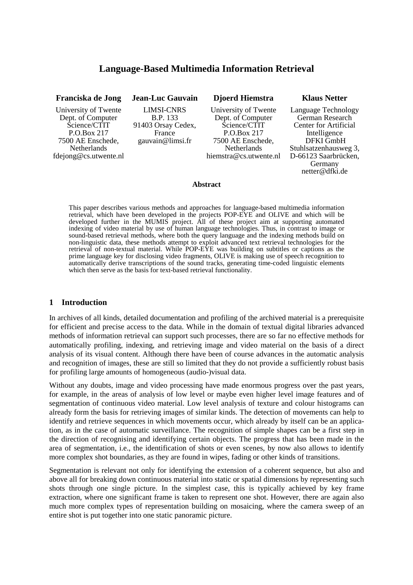# **Language-Based Multimedia Information Retrieval**

| Franciska de Jong                                                                                                                            | <b>Jean-Luc Gauvain</b>                                                                  | <b>Djoerd Hiemstra</b>                                                                                                                 | <b>Klaus Netter</b>                                                                                                                                      |
|----------------------------------------------------------------------------------------------------------------------------------------------|------------------------------------------------------------------------------------------|----------------------------------------------------------------------------------------------------------------------------------------|----------------------------------------------------------------------------------------------------------------------------------------------------------|
| University of Twente<br>Dept. of Computer<br>Science/CTIT<br>P.O.Box 217<br>7500 AE Enschede,<br><b>Netherlands</b><br>fdejong@cs.utwente.nl | <b>LIMSI-CNRS</b><br><b>B.P.</b> 133<br>91403 Orsay Cedex,<br>France<br>gauvain@limsi.fr | University of Twente<br>Dept. of Computer<br>Science/CTIT<br>P.O.Box 217<br>7500 AE Enschede,<br>Netherlands<br>hiemstra@cs.utwente.nl | Language Technology<br>German Research<br>Center for Artificial<br>Intelligence<br>DFKI GmbH<br>Stuhlsatzenhausweg 3,<br>D-66123 Saarbrücken,<br>Germany |
|                                                                                                                                              |                                                                                          | $\blacksquare$                                                                                                                         | netter@dfki.de                                                                                                                                           |

#### **Abstract**

This paper describes various methods and approaches for language-based multimedia information retrieval, which have been developed in the projects POP-EYE and OLIVE and which will be developed further in the MUMIS project. All of these project aim at supporting automated indexing of video material by use of human language technologies. Thus, in contrast to image or sound-based retrieval methods, where both the query language and the indexing methods build on non-linguistic data, these methods attempt to exploit advanced text retrieval technologies for the retrieval of non-textual material. While POP-EYE was building on subtitles or captions as the prime language key for disclosing video fragments, OLIVE is making use of speech recognition to automatically derive transcriptions of the sound tracks, generating time-coded linguistic elements which then serve as the basis for text-based retrieval functionality.

### **1 Introduction**

In archives of all kinds, detailed documentation and profiling of the archived material is a prerequisite for efficient and precise access to the data. While in the domain of textual digital libraries advanced methods of information retrieval can support such processes, there are so far no effective methods for automatically profiling, indexing, and retrieving image and video material on the basis of a direct analysis of its visual content. Although there have been of course advances in the automatic analysis and recognition of images, these are still so limited that they do not provide a sufficiently robust basis for profiling large amounts of homogeneous (audio-)visual data.

Without any doubts, image and video processing have made enormous progress over the past years, for example, in the areas of analysis of low level or maybe even higher level image features and of segmentation of continuous video material. Low level analysis of texture and colour histograms can already form the basis for retrieving images of similar kinds. The detection of movements can help to identify and retrieve sequences in which movements occur, which already by itself can be an application, as in the case of automatic surveillance. The recognition of simple shapes can be a first step in the direction of recognising and identifying certain objects. The progress that has been made in the area of segmentation, i.e., the identification of shots or even scenes, by now also allows to identify more complex shot boundaries, as they are found in wipes, fading or other kinds of transitions.

Segmentation is relevant not only for identifying the extension of a coherent sequence, but also and above all for breaking down continuous material into static or spatial dimensions by representing such shots through one single picture. In the simplest case, this is typically achieved by key frame extraction, where one significant frame is taken to represent one shot. However, there are again also much more complex types of representation building on mosaicing, where the camera sweep of an entire shot is put together into one static panoramic picture.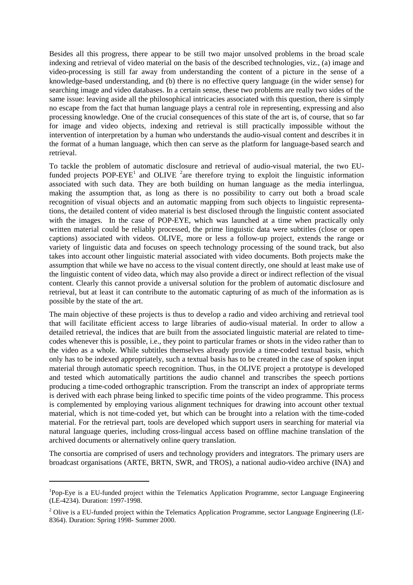Besides all this progress, there appear to be still two major unsolved problems in the broad scale indexing and retrieval of video material on the basis of the described technologies, viz., (a) image and video-processing is still far away from understanding the content of a picture in the sense of a knowledge-based understanding, and (b) there is no effective query language (in the wider sense) for searching image and video databases. In a certain sense, these two problems are really two sides of the same issue: leaving aside all the philosophical intricacies associated with this question, there is simply no escape from the fact that human language plays a central role in representing, expressing and also processing knowledge. One of the crucial consequences of this state of the art is, of course, that so far for image and video objects, indexing and retrieval is still practically impossible without the intervention of interpretation by a human who understands the audio-visual content and describes it in the format of a human language, which then can serve as the platform for language-based search and retrieval.

To tackle the problem of automatic disclosure and retrieval of audio-visual material, the two EUfunded projects POP-EYE<sup>1</sup> and OLIVE <sup>2</sup>are therefore trying to exploit the linguistic information associated with such data. They are both building on human language as the media interlingua, making the assumption that, as long as there is no possibility to carry out both a broad scale recognition of visual objects and an automatic mapping from such objects to linguistic representations, the detailed content of video material is best disclosed through the linguistic content associated with the images. In the case of POP-EYE, which was launched at a time when practically only written material could be reliably processed, the prime linguistic data were subtitles (close or open captions) associated with videos. OLIVE, more or less a follow-up project, extends the range or variety of linguistic data and focuses on speech technology processing of the sound track, but also takes into account other linguistic material associated with video documents. Both projects make the assumption that while we have no access to the visual content directly, one should at least make use of the linguistic content of video data, which may also provide a direct or indirect reflection of the visual content. Clearly this cannot provide a universal solution for the problem of automatic disclosure and retrieval, but at least it can contribute to the automatic capturing of as much of the information as is possible by the state of the art.

The main objective of these projects is thus to develop a radio and video archiving and retrieval tool that will facilitate efficient access to large libraries of audio-visual material. In order to allow a detailed retrieval, the indices that are built from the associated linguistic material are related to timecodes whenever this is possible, i.e., they point to particular frames or shots in the video rather than to the video as a whole. While subtitles themselves already provide a time-coded textual basis, which only has to be indexed appropriately, such a textual basis has to be created in the case of spoken input material through automatic speech recognition. Thus, in the OLIVE project a prototype is developed and tested which automatically partitions the audio channel and transcribes the speech portions producing a time-coded orthographic transcription. From the transcript an index of appropriate terms is derived with each phrase being linked to specific time points of the video programme. This process is complemented by employing various alignment techniques for drawing into account other textual material, which is not time-coded yet, but which can be brought into a relation with the time-coded material. For the retrieval part, tools are developed which support users in searching for material via natural language queries, including cross-lingual access based on offline machine translation of the archived documents or alternatively online query translation.

The consortia are comprised of users and technology providers and integrators. The primary users are broadcast organisations (ARTE, BRTN, SWR, and TROS), a national audio-video archive (INA) and

<sup>&</sup>lt;sup>1</sup>Pop-Eye is a EU-funded project within the Telematics Application Programme, sector Language Engineering (LE-4234). Duration: 1997-1998.

<sup>&</sup>lt;sup>2</sup> Olive is a EU-funded project within the Telematics Application Programme, sector Language Engineering (LE-8364). Duration: Spring 1998- Summer 2000.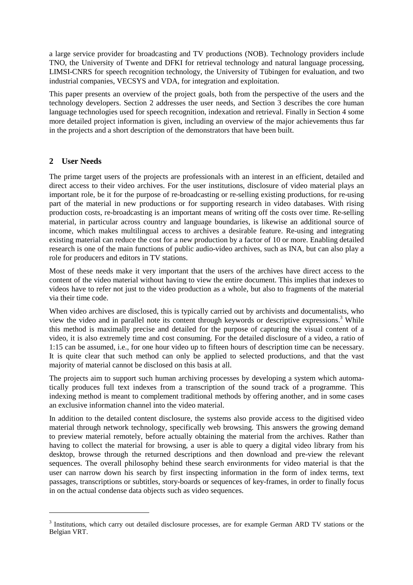a large service provider for broadcasting and TV productions (NOB). Technology providers include TNO, the University of Twente and DFKI for retrieval technology and natural language processing, LIMSI-CNRS for speech recognition technology, the University of Tübingen for evaluation, and two industrial companies, VECSYS and VDA, for integration and exploitation.

This paper presents an overview of the project goals, both from the perspective of the users and the technology developers. Section 2 addresses the user needs, and Section 3 describes the core human language technologies used for speech recognition, indexation and retrieval. Finally in Section 4 some more detailed project information is given, including an overview of the major achievements thus far in the projects and a short description of the demonstrators that have been built.

# **2 User Needs**

The prime target users of the projects are professionals with an interest in an efficient, detailed and direct access to their video archives. For the user institutions, disclosure of video material plays an important role, be it for the purpose of re-broadcasting or re-selling existing productions, for re-using part of the material in new productions or for supporting research in video databases. With rising production costs, re-broadcasting is an important means of writing off the costs over time. Re-selling material, in particular across country and language boundaries, is likewise an additional source of income, which makes multilingual access to archives a desirable feature. Re-using and integrating existing material can reduce the cost for a new production by a factor of 10 or more. Enabling detailed research is one of the main functions of public audio-video archives, such as INA, but can also play a role for producers and editors in TV stations.

Most of these needs make it very important that the users of the archives have direct access to the content of the video material without having to view the entire document. This implies that indexes to videos have to refer not just to the video production as a whole, but also to fragments of the material via their time code.

When video archives are disclosed, this is typically carried out by archivists and documentalists, who view the video and in parallel note its content through keywords or descriptive expressions. <sup>3</sup> While this method is maximally precise and detailed for the purpose of capturing the visual content of a video, it is also extremely time and cost consuming. For the detailed disclosure of a video, a ratio of 1:15 can be assumed, i.e., for one hour video up to fifteen hours of description time can be necessary. It is quite clear that such method can only be applied to selected productions, and that the vast majority of material cannot be disclosed on this basis at all.

The projects aim to support such human archiving processes by developing a system which automatically produces full text indexes from a transcription of the sound track of a programme. This indexing method is meant to complement traditional methods by offering another, and in some cases an exclusive information channel into the video material.

In addition to the detailed content disclosure, the systems also provide access to the digitised video material through network technology, specifically web browsing. This answers the growing demand to preview material remotely, before actually obtaining the material from the archives. Rather than having to collect the material for browsing, a user is able to query a digital video library from his desktop, browse through the returned descriptions and then download and pre-view the relevant sequences. The overall philosophy behind these search environments for video material is that the user can narrow down his search by first inspecting information in the form of index terms, text passages, transcriptions or subtitles, story-boards or sequences of key-frames, in order to finally focus in on the actual condense data objects such as video sequences.

<sup>&</sup>lt;sup>3</sup> Institutions, which carry out detailed disclosure processes, are for example German ARD TV stations or the Belgian VRT.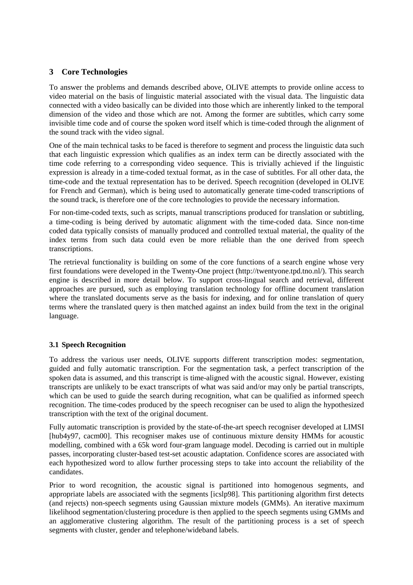# **3 Core Technologies**

To answer the problems and demands described above, OLIVE attempts to provide online access to video material on the basis of linguistic material associated with the visual data. The linguistic data connected with a video basically can be divided into those which are inherently linked to the temporal dimension of the video and those which are not. Among the former are subtitles, which carry some invisible time code and of course the spoken word itself which is time-coded through the alignment of the sound track with the video signal.

One of the main technical tasks to be faced is therefore to segment and process the linguistic data such that each linguistic expression which qualifies as an index term can be directly associated with the time code referring to a corresponding video sequence. This is trivially achieved if the linguistic expression is already in a time-coded textual format, as in the case of subtitles. For all other data, the time-code and the textual representation has to be derived. Speech recognition (developed in OLIVE for French and German), which is being used to automatically generate time-coded transcriptions of the sound track, is therefore one of the core technologies to provide the necessary information.

For non-time-coded texts, such as scripts, manual transcriptions produced for translation or subtitling, a time-coding is being derived by automatic alignment with the time-coded data. Since non-time coded data typically consists of manually produced and controlled textual material, the quality of the index terms from such data could even be more reliable than the one derived from speech transcriptions.

The retrieval functionality is building on some of the core functions of a search engine whose very first foundations were developed in the Twenty-One project (http://twentyone.tpd.tno.nl/). This search engine is described in more detail below. To support cross-lingual search and retrieval, different approaches are pursued, such as employing translation technology for offline document translation where the translated documents serve as the basis for indexing, and for online translation of query terms where the translated query is then matched against an index build from the text in the original language.

# **3.1 Speech Recognition**

To address the various user needs, OLIVE supports different transcription modes: segmentation, guided and fully automatic transcription. For the segmentation task, a perfect transcription of the spoken data is assumed, and this transcript is time-aligned with the acoustic signal. However, existing transcripts are unlikely to be exact transcripts of what was said and/or may only be partial transcripts, which can be used to guide the search during recognition, what can be qualified as informed speech recognition. The time-codes produced by the speech recogniser can be used to align the hypothesized transcription with the text of the original document.

Fully automatic transcription is provided by the state-of-the-art speech recogniser developed at LIMSI [hub4y97, cacm00]. This recogniser makes use of continuous mixture density HMMs for acoustic modelling, combined with a 65k word four-gram language model. Decoding is carried out in multiple passes, incorporating cluster-based test-set acoustic adaptation. Confidence scores are associated with each hypothesized word to allow further processing steps to take into account the reliability of the candidates.

Prior to word recognition, the acoustic signal is partitioned into homogenous segments, and appropriate labels are associated with the segments [icslp98]. This partitioning algorithm first detects (and rejects) non-speech segments using Gaussian mixture models (GMMs). An iterative maximum likelihood segmentation/clustering procedure is then applied to the speech segments using GMMs and an agglomerative clustering algorithm. The result of the partitioning process is a set of speech segments with cluster, gender and telephone/wideband labels.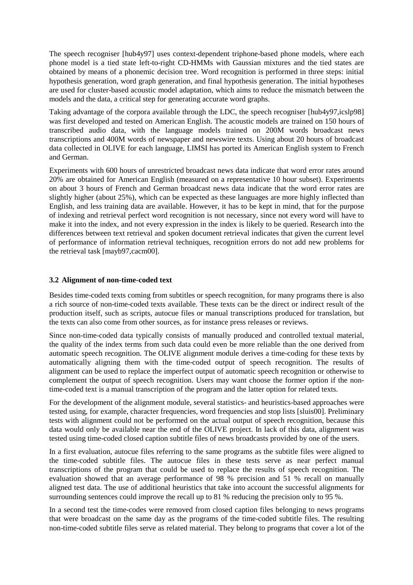The speech recogniser [hub4y97] uses context-dependent triphone-based phone models, where each phone model is a tied state left-to-right CD-HMMs with Gaussian mixtures and the tied states are obtained by means of a phonemic decision tree. Word recognition is performed in three steps: initial hypothesis generation, word graph generation, and final hypothesis generation. The initial hypotheses are used for cluster-based acoustic model adaptation, which aims to reduce the mismatch between the models and the data, a critical step for generating accurate word graphs.

Taking advantage of the corpora available through the LDC, the speech recogniser [hub4y97,icslp98] was first developed and tested on American English. The acoustic models are trained on 150 hours of transcribed audio data, with the language models trained on 200M words broadcast news transcriptions and 400M words of newspaper and newswire texts. Using about 20 hours of broadcast data collected in OLIVE for each language, LIMSI has ported its American English system to French and German.

Experiments with 600 hours of unrestricted broadcast news data indicate that word error rates around 20% are obtained for American English (measured on a representative 10 hour subset). Experiments on about 3 hours of French and German broadcast news data indicate that the word error rates are slightly higher (about 25%), which can be expected as these languages are more highly inflected than English, and less training data are available. However, it has to be kept in mind, that for the purpose of indexing and retrieval perfect word recognition is not necessary, since not every word will have to make it into the index, and not every expression in the index is likely to be queried. Research into the differences between text retrieval and spoken document retrieval indicates that given the current level of performance of information retrieval techniques, recognition errors do not add new problems for the retrieval task [mayb97,cacm00].

### **3.2 Alignment of non-time-coded text**

Besides time-coded texts coming from subtitles or speech recognition, for many programs there is also a rich source of non-time-coded texts available. These texts can be the direct or indirect result of the production itself, such as scripts, autocue files or manual transcriptions produced for translation, but the texts can also come from other sources, as for instance press releases or reviews.

Since non-time-coded data typically consists of manually produced and controlled textual material, the quality of the index terms from such data could even be more reliable than the one derived from automatic speech recognition. The OLIVE alignment module derives a time-coding for these texts by automatically aligning them with the time-coded output of speech recognition. The results of alignment can be used to replace the imperfect output of automatic speech recognition or otherwise to complement the output of speech recognition. Users may want choose the former option if the nontime-coded text is a manual transcription of the program and the latter option for related texts.

For the development of the alignment module, several statistics- and heuristics-based approaches were tested using, for example, character frequencies, word frequencies and stop lists [sluis00]. Preliminary tests with alignment could not be performed on the actual output of speech recognition, because this data would only be available near the end of the OLIVE project. In lack of this data, alignment was tested using time-coded closed caption subtitle files of news broadcasts provided by one of the users.

In a first evaluation, autocue files referring to the same programs as the subtitle files were aligned to the time-coded subtitle files. The autocue files in these tests serve as near perfect manual transcriptions of the program that could be used to replace the results of speech recognition. The evaluation showed that an average performance of 98 % precision and 51 % recall on manually aligned test data. The use of additional heuristics that take into account the successful alignments for surrounding sentences could improve the recall up to 81 % reducing the precision only to 95 %.

In a second test the time-codes were removed from closed caption files belonging to news programs that were broadcast on the same day as the programs of the time-coded subtitle files. The resulting non-time-coded subtitle files serve as related material. They belong to programs that cover a lot of the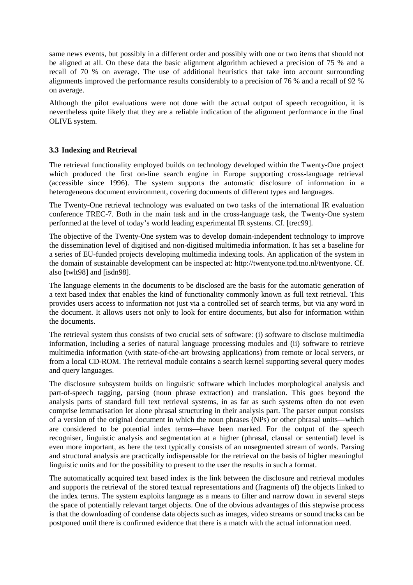same news events, but possibly in a different order and possibly with one or two items that should not be aligned at all. On these data the basic alignment algorithm achieved a precision of 75 % and a recall of 70 % on average. The use of additional heuristics that take into account surrounding alignments improved the performance results considerably to a precision of 76 % and a recall of 92 % on average.

Although the pilot evaluations were not done with the actual output of speech recognition, it is nevertheless quite likely that they are a reliable indication of the alignment performance in the final OLIVE system.

# **3.3 Indexing and Retrieval**

The retrieval functionality employed builds on technology developed within the Twenty-One project which produced the first on-line search engine in Europe supporting cross-language retrieval (accessible since 1996). The system supports the automatic disclosure of information in a heterogeneous document environment, covering documents of different types and languages.

The Twenty-One retrieval technology was evaluated on two tasks of the international IR evaluation conference TREC-7. Both in the main task and in the cross-language task, the Twenty-One system performed at the level of today's world leading experimental IR systems. Cf. [trec99].

The objective of the Twenty-One system was to develop domain-independent technology to improve the dissemination level of digitised and non-digitised multimedia information. It has set a baseline for a series of EU-funded projects developing multimedia indexing tools. An application of the system in the domain of sustainable development can be inspected at: http://twentyone.tpd.tno.nl/twentyone. Cf. also [twlt98] and [isdn98].

The language elements in the documents to be disclosed are the basis for the automatic generation of a text based index that enables the kind of functionality commonly known as full text retrieval. This provides users access to information not just via a controlled set of search terms, but via any word in the document. It allows users not only to look for entire documents, but also for information within the documents.

The retrieval system thus consists of two crucial sets of software: (i) software to disclose multimedia information, including a series of natural language processing modules and (ii) software to retrieve multimedia information (with state-of-the-art browsing applications) from remote or local servers, or from a local CD-ROM. The retrieval module contains a search kernel supporting several query modes and query languages.

The disclosure subsystem builds on linguistic software which includes morphological analysis and part-of-speech tagging, parsing (noun phrase extraction) and translation. This goes beyond the analysis parts of standard full text retrieval systems, in as far as such systems often do not even comprise lemmatisation let alone phrasal structuring in their analysis part. The parser output consists of a version of the original document in which the noun phrases (NPs) or other phrasal units—which are considered to be potential index terms—have been marked. For the output of the speech recogniser, linguistic analysis and segmentation at a higher (phrasal, clausal or sentential) level is even more important, as here the text typically consists of an unsegmented stream of words. Parsing and structural analysis are practically indispensable for the retrieval on the basis of higher meaningful linguistic units and for the possibility to present to the user the results in such a format.

The automatically acquired text based index is the link between the disclosure and retrieval modules and supports the retrieval of the stored textual representations and (fragments of) the objects linked to the index terms. The system exploits language as a means to filter and narrow down in several steps the space of potentially relevant target objects. One of the obvious advantages of this stepwise process is that the downloading of condense data objects such as images, video streams or sound tracks can be postponed until there is confirmed evidence that there is a match with the actual information need.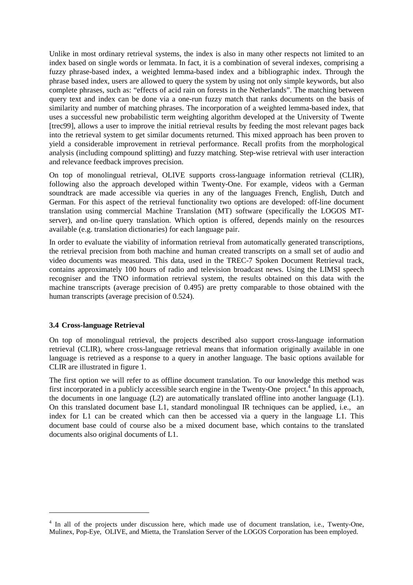Unlike in most ordinary retrieval systems, the index is also in many other respects not limited to an index based on single words or lemmata. In fact, it is a combination of several indexes, comprising a fuzzy phrase-based index, a weighted lemma-based index and a bibliographic index. Through the phrase based index, users are allowed to query the system by using not only simple keywords, but also complete phrases, such as: "effects of acid rain on forests in the Netherlands". The matching between query text and index can be done via a one-run fuzzy match that ranks documents on the basis of similarity and number of matching phrases. The incorporation of a weighted lemma-based index, that uses a successful new probabilistic term weighting algorithm developed at the University of Twente [trec99], allows a user to improve the initial retrieval results by feeding the most relevant pages back into the retrieval system to get similar documents returned. This mixed approach has been proven to yield a considerable improvement in retrieval performance. Recall profits from the morphological analysis (including compound splitting) and fuzzy matching. Step-wise retrieval with user interaction and relevance feedback improves precision.

On top of monolingual retrieval, OLIVE supports cross-language information retrieval (CLIR), following also the approach developed within Twenty-One. For example, videos with a German soundtrack are made accessible via queries in any of the languages French, English, Dutch and German. For this aspect of the retrieval functionality two options are developed: off-line document translation using commercial Machine Translation (MT) software (specifically the LOGOS MTserver), and on-line query translation. Which option is offered, depends mainly on the resources available (e.g. translation dictionaries) for each language pair.

In order to evaluate the viability of information retrieval from automatically generated transcriptions, the retrieval precision from both machine and human created transcripts on a small set of audio and video documents was measured. This data, used in the TREC-7 Spoken Document Retrieval track, contains approximately 100 hours of radio and television broadcast news. Using the LIMSI speech recogniser and the TNO information retrieval system, the results obtained on this data with the machine transcripts (average precision of 0.495) are pretty comparable to those obtained with the human transcripts (average precision of 0.524).

### **3.4 Cross-language Retrieval**

On top of monolingual retrieval, the projects described also support cross-language information retrieval (CLIR), where cross-language retrieval means that information originally available in one language is retrieved as a response to a query in another language. The basic options available for CLIR are illustrated in figure 1.

The first option we will refer to as offline document translation. To our knowledge this method was first incorporated in a publicly accessible search engine in the Twenty-One project.<sup>4</sup> In this approach, the documents in one language (L2) are automatically translated offline into another language (L1). On this translated document base L1, standard monolingual IR techniques can be applied, i.e., an index for L1 can be created which can then be accessed via a query in the language L1. This document base could of course also be a mixed document base, which contains to the translated documents also original documents of L1.

<sup>&</sup>lt;sup>4</sup> In all of the projects under discussion here, which made use of document translation, i.e., Twenty-One, Mulinex, Pop-Eye, OLIVE, and Mietta, the Translation Server of the LOGOS Corporation has been employed.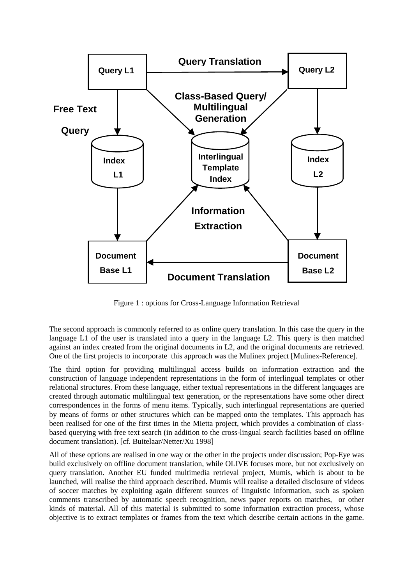

Figure 1 : options for Cross-Language Information Retrieval

The second approach is commonly referred to as online query translation. In this case the query in the language L1 of the user is translated into a query in the language L2. This query is then matched against an index created from the original documents in L2, and the original documents are retrieved. One of the first projects to incorporate this approach was the Mulinex project [Mulinex-Reference].

The third option for providing multilingual access builds on information extraction and the construction of language independent representations in the form of interlingual templates or other relational structures. From these language, either textual representations in the different languages are created through automatic multilingual text generation, or the representations have some other direct correspondences in the forms of menu items. Typically, such interlingual representations are queried by means of forms or other structures which can be mapped onto the templates. This approach has been realised for one of the first times in the Mietta project, which provides a combination of classbased querying with free text search (in addition to the cross-lingual search facilities based on offline document translation). [cf. Buitelaar/Netter/Xu 1998]

All of these options are realised in one way or the other in the projects under discussion; Pop-Eye was build exclusively on offline document translation, while OLIVE focuses more, but not exclusively on query translation. Another EU funded multimedia retrieval project, Mumis, which is about to be launched, will realise the third approach described. Mumis will realise a detailed disclosure of videos of soccer matches by exploiting again different sources of linguistic information, such as spoken comments transcribed by automatic speech recognition, news paper reports on matches, or other kinds of material. All of this material is submitted to some information extraction process, whose objective is to extract templates or frames from the text which describe certain actions in the game.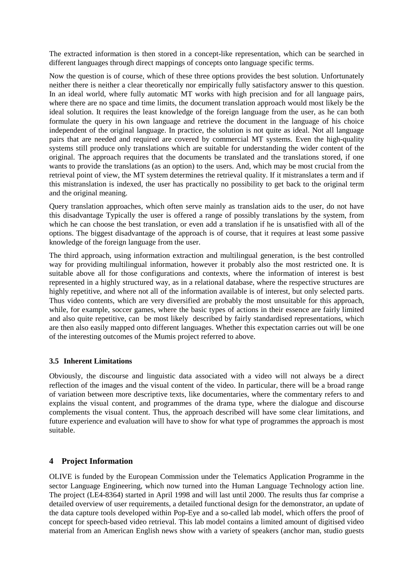The extracted information is then stored in a concept-like representation, which can be searched in different languages through direct mappings of concepts onto language specific terms.

Now the question is of course, which of these three options provides the best solution. Unfortunately neither there is neither a clear theoretically nor empirically fully satisfactory answer to this question. In an ideal world, where fully automatic MT works with high precision and for all language pairs, where there are no space and time limits, the document translation approach would most likely be the ideal solution. It requires the least knowledge of the foreign language from the user, as he can both formulate the query in his own language and retrieve the document in the language of his choice independent of the original language. In practice, the solution is not quite as ideal. Not all language pairs that are needed and required are covered by commercial MT systems. Even the high-quality systems still produce only translations which are suitable for understanding the wider content of the original. The approach requires that the documents be translated and the translations stored, if one wants to provide the translations (as an option) to the users. And, which may be most crucial from the retrieval point of view, the MT system determines the retrieval quality. If it mistranslates a term and if this mistranslation is indexed, the user has practically no possibility to get back to the original term and the original meaning.

Query translation approaches, which often serve mainly as translation aids to the user, do not have this disadvantage Typically the user is offered a range of possibly translations by the system, from which he can choose the best translation, or even add a translation if he is unsatisfied with all of the options. The biggest disadvantage of the approach is of course, that it requires at least some passive knowledge of the foreign language from the user.

The third approach, using information extraction and multilingual generation, is the best controlled way for providing multilingual information, however it probably also the most restricted one. It is suitable above all for those configurations and contexts, where the information of interest is best represented in a highly structured way, as in a relational database, where the respective structures are highly repetitive, and where not all of the information available is of interest, but only selected parts. Thus video contents, which are very diversified are probably the most unsuitable for this approach, while, for example, soccer games, where the basic types of actions in their essence are fairly limited and also quite repetitive, can be most likely described by fairly standardised representations, which are then also easily mapped onto different languages. Whether this expectation carries out will be one of the interesting outcomes of the Mumis project referred to above.

### **3.5 Inherent Limitations**

Obviously, the discourse and linguistic data associated with a video will not always be a direct reflection of the images and the visual content of the video. In particular, there will be a broad range of variation between more descriptive texts, like documentaries, where the commentary refers to and explains the visual content, and programmes of the drama type, where the dialogue and discourse complements the visual content. Thus, the approach described will have some clear limitations, and future experience and evaluation will have to show for what type of programmes the approach is most suitable.

# **4 Project Information**

OLIVE is funded by the European Commission under the Telematics Application Programme in the sector Language Engineering, which now turned into the Human Language Technology action line. The project (LE4-8364) started in April 1998 and will last until 2000. The results thus far comprise a detailed overview of user requirements, a detailed functional design for the demonstrator, an update of the data capture tools developed within Pop-Eye and a so-called lab model, which offers the proof of concept for speech-based video retrieval. This lab model contains a limited amount of digitised video material from an American English news show with a variety of speakers (anchor man, studio guests